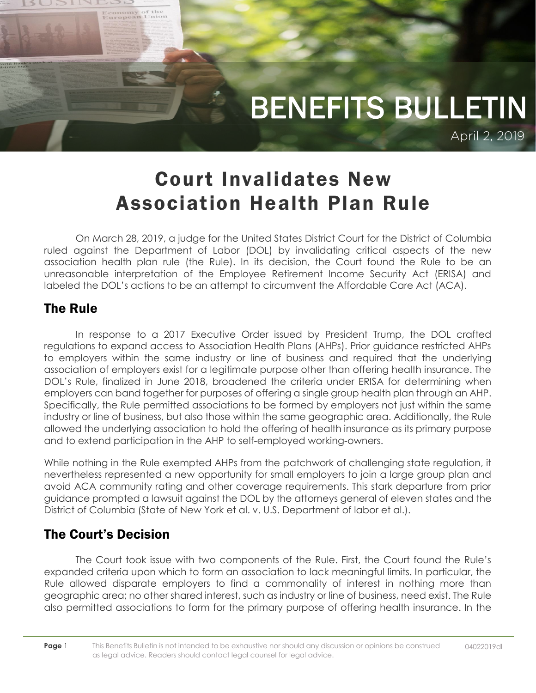

## Court Invalidates New Association Health Plan Rule

On March 28, 2019, a judge for the United States District Court for the District of Columbia ruled against the Department of Labor (DOL) by invalidating critical aspects of the new association health plan rule (the Rule). In its decision, the Court found the Rule to be an unreasonable interpretation of the Employee Retirement Income Security Act (ERISA) and labeled the DOL's actions to be an attempt to circumvent the Affordable Care Act (ACA).

## The Rule

Economy of the<br>European Union

In response to a 2017 Executive Order issued by President Trump, the DOL crafted regulations to expand access to Association Health Plans (AHPs). Prior guidance restricted AHPs to employers within the same industry or line of business and required that the underlying association of employers exist for a legitimate purpose other than offering health insurance. The DOL's Rule, finalized in June 2018, broadened the criteria under ERISA for determining when employers can band together for purposes of offering a single group health plan through an AHP. Specifically, the Rule permitted associations to be formed by employers not just within the same industry or line of business, but also those within the same geographic area. Additionally, the Rule allowed the underlying association to hold the offering of health insurance as its primary purpose and to extend participation in the AHP to self-employed working-owners.

While nothing in the Rule exempted AHPs from the patchwork of challenging state regulation, it nevertheless represented a new opportunity for small employers to join a large group plan and avoid ACA community rating and other coverage requirements. This stark departure from prior guidance prompted a lawsuit against the DOL by the attorneys general of eleven states and the District of Columbia (State of New York et al. v. U.S. Department of labor et al.).

## The Court's Decision

The Court took issue with two components of the Rule. First, the Court found the Rule's expanded criteria upon which to form an association to lack meaningful limits. In particular, the Rule allowed disparate employers to find a commonality of interest in nothing more than geographic area; no other shared interest, such as industry or line of business, need exist. The Rule also permitted associations to form for the primary purpose of offering health insurance. In the